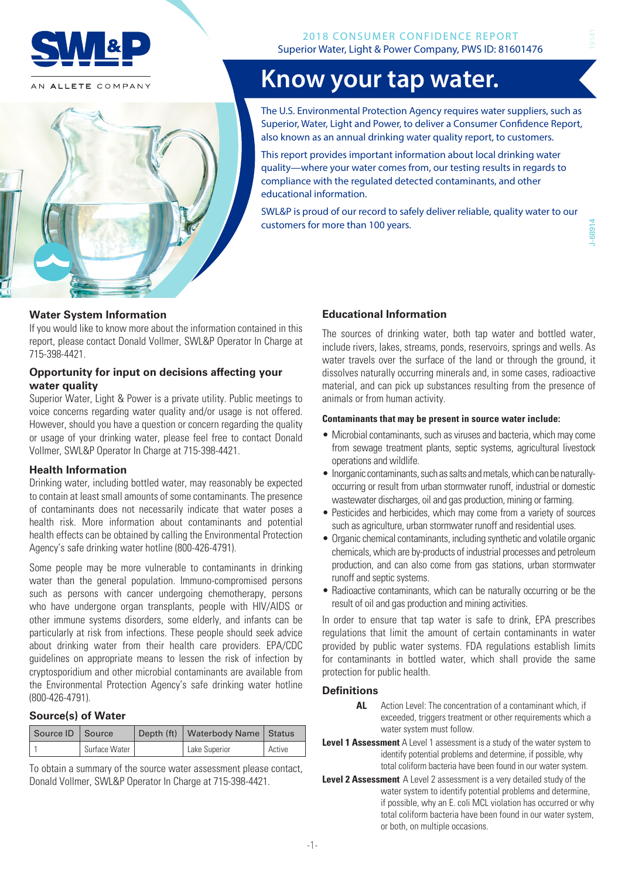

AN ALLETE COMPANY



# **Know your tap water.**

The U.S. Environmental Protection Agency requires water suppliers, such as Superior, Water, Light and Power, to deliver a Consumer Confidence Report, also known as an annual drinking water quality report, to customers.

This report provides important information about local drinking water quality—where your water comes from, our testing results in regards to compliance with the regulated detected contaminants, and other educational information.

SWL&P is proud of our record to safely deliver reliable, quality water to our customers for more than 100 years.

#### **Water System Information**

If you would like to know more about the information contained in this report, please contact Donald Vollmer, SWL&P Operator In Charge at 715-398-4421.

#### **Opportunity for input on decisions affecting your water quality**

Superior Water, Light & Power is a private utility. Public meetings to voice concerns regarding water quality and/or usage is not offered. However, should you have a question or concern regarding the quality or usage of your drinking water, please feel free to contact Donald Vollmer, SWL&P Operator In Charge at 715-398-4421.

#### **Health Information**

Drinking water, including bottled water, may reasonably be expected to contain at least small amounts of some contaminants. The presence of contaminants does not necessarily indicate that water poses a health risk. More information about contaminants and potential health effects can be obtained by calling the Environmental Protection Agency's safe drinking water hotline (800-426-4791).

Some people may be more vulnerable to contaminants in drinking water than the general population. Immuno-compromised persons such as persons with cancer undergoing chemotherapy, persons who have undergone organ transplants, people with HIV/AIDS or other immune systems disorders, some elderly, and infants can be particularly at risk from infections. These people should seek advice about drinking water from their health care providers. EPA/CDC guidelines on appropriate means to lessen the risk of infection by cryptosporidium and other microbial contaminants are available from the Environmental Protection Agency's safe drinking water hotline (800-426-4791).

#### **Source(s) of Water**

| Source ID   Source |               | Depth (ft)   Waterbody Name   Status |        |
|--------------------|---------------|--------------------------------------|--------|
|                    | Surface Water | Lake Superior                        | Active |

To obtain a summary of the source water assessment please contact, Donald Vollmer, SWL&P Operator In Charge at 715-398-4421.

#### **Educational Information**

The sources of drinking water, both tap water and bottled water, include rivers, lakes, streams, ponds, reservoirs, springs and wells. As water travels over the surface of the land or through the ground, it dissolves naturally occurring minerals and, in some cases, radioactive material, and can pick up substances resulting from the presence of animals or from human activity.

#### **Contaminants that may be present in source water include:**

- Microbial contaminants, such as viruses and bacteria, which may come from sewage treatment plants, septic systems, agricultural livestock operations and wildlife.
- Inorganic contaminants, such as salts and metals, which can be naturallyoccurring or result from urban stormwater runoff, industrial or domestic wastewater discharges, oil and gas production, mining or farming.
- Pesticides and herbicides, which may come from a variety of sources such as agriculture, urban stormwater runoff and residential uses.
- Organic chemical contaminants, including synthetic and volatile organic chemicals, which are by-products of industrial processes and petroleum production, and can also come from gas stations, urban stormwater runoff and septic systems.
- Radioactive contaminants, which can be naturally occurring or be the result of oil and gas production and mining activities.

In order to ensure that tap water is safe to drink, EPA prescribes regulations that limit the amount of certain contaminants in water provided by public water systems. FDA regulations establish limits for contaminants in bottled water, which shall provide the same protection for public health.

#### **Definitions**

- **AL** Action Level: The concentration of a contaminant which, if exceeded, triggers treatment or other requirements which a water system must follow.
- **Level 1 Assessment** A Level 1 assessment is a study of the water system to identify potential problems and determine, if possible, why total coliform bacteria have been found in our water system.
- **Level 2 Assessment** A Level 2 assessment is a very detailed study of the water system to identify potential problems and determine, if possible, why an E. coli MCL violation has occurred or why total coliform bacteria have been found in our water system, or both, on multiple occasions.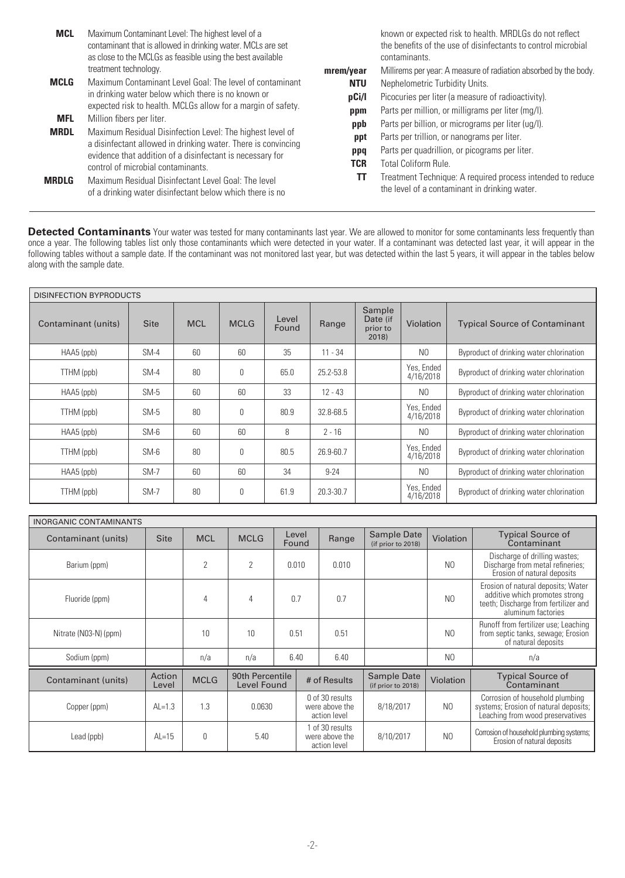| <b>MCL</b>  | Maximum Contaminant Level: The highest level of a<br>contaminant that is allowed in drinking water. MCLs are set<br>as close to the MCLGs as feasible using the best available |
|-------------|--------------------------------------------------------------------------------------------------------------------------------------------------------------------------------|
|             | treatment technology.                                                                                                                                                          |
| <b>MCLG</b> | Maximum Contaminant Level Goal: The level of contaminant<br>in drinking water below which there is no known or<br>expected risk to health. MCLGs allow for a margin of safety. |
| <b>MFL</b>  | Million fibers per liter.                                                                                                                                                      |
| <b>MRDL</b> | Maximum Residual Disinfection Level: The highest level of<br>a disinfectant allowed in drinking water. There is convincing                                                     |

a disinfectant allowed in drinking water. There is convincing evidence that addition of a disinfectant is necessary for control of microbial contaminants.

**MRDLG** Maximum Residual Disinfectant Level Goal: The level of a drinking water disinfectant below which there is no

known or expected risk to health. MRDLGs do not reflect the benefits of the use of disinfectants to control microbial contaminants.

- **mrem/year** Millirems per year: A measure of radiation absorbed by the body. **NTU** Nephelometric Turbidity Units. **pCi/l** Picocuries per liter (a measure of radioactivity).
	- **ppm** Parts per million, or milligrams per liter (mg/l).
	- **ppb** Parts per billion, or micrograms per liter (ug/l).
	- **ppt** Parts per trillion, or nanograms per liter.
	- **ppq** Parts per quadrillion, or picograms per liter.
	- **TCR** Total Coliform Rule.
	- **TT** Treatment Technique: A required process intended to reduce the level of a contaminant in drinking water.

Detected Contaminants Your water was tested for many contaminants last year. We are allowed to monitor for some contaminants less frequently than once a year. The following tables list only those contaminants which were detected in your water. If a contaminant was detected last year, it will appear in the following tables without a sample date. If the contaminant was not monitored last year, but was detected within the last 5 years, it will appear in the tables below along with the sample date.

| <b>DISINFECTION BYPRODUCTS</b> |             |            |             |                |           |                                         |                         |                                          |
|--------------------------------|-------------|------------|-------------|----------------|-----------|-----------------------------------------|-------------------------|------------------------------------------|
| Contaminant (units)            | <b>Site</b> | <b>MCL</b> | <b>MCLG</b> | Level<br>Found | Range     | Sample<br>Date (if<br>prior to<br>2018) | Violation               | <b>Typical Source of Contaminant</b>     |
| $HAAS$ (ppb)                   | $SM-4$      | 60         | 60          | 35             | $11 - 34$ |                                         | N <sub>0</sub>          | Byproduct of drinking water chlorination |
| TTHM (ppb)                     | $SM-4$      | 80         | $\theta$    | 65.0           | 25.2-53.8 |                                         | Yes, Ended<br>4/16/2018 | Byproduct of drinking water chlorination |
| $HAAS$ (ppb)                   | $SM-5$      | 60         | 60          | 33             | $12 - 43$ |                                         | N <sub>0</sub>          | Byproduct of drinking water chlorination |
| TTHM (ppb)                     | $SM-5$      | 80         | $\theta$    | 80.9           | 32.8-68.5 |                                         | Yes, Ended<br>4/16/2018 | Byproduct of drinking water chlorination |
| $HAAS$ (ppb)                   | $SM-6$      | 60         | 60          | 8              | $2 - 16$  |                                         | N <sub>0</sub>          | Byproduct of drinking water chlorination |
| TTHM (ppb)                     | $SM-6$      | 80         | 0           | 80.5           | 26.9-60.7 |                                         | Yes, Ended<br>4/16/2018 | Byproduct of drinking water chlorination |
| HAA5 (ppb)                     | $SM-7$      | 60         | 60          | 34             | $9 - 24$  |                                         | N <sub>0</sub>          | Byproduct of drinking water chlorination |
| TTHM (ppb)                     | $SM-7$      | 80         | 0           | 61.9           | 20.3-30.7 |                                         | Yes, Ended<br>4/16/2018 | Byproduct of drinking water chlorination |

| <b>INORGANIC CONTAMINANTS</b> |                 |                |                                |                                                   |              |       |                                   |                  |                                                                                                                                    |
|-------------------------------|-----------------|----------------|--------------------------------|---------------------------------------------------|--------------|-------|-----------------------------------|------------------|------------------------------------------------------------------------------------------------------------------------------------|
| Contaminant (units)           | <b>Site</b>     | <b>MCL</b>     | <b>MCLG</b>                    | Level<br>Found                                    |              | Range | Sample Date<br>(if prior to 2018) | <b>Violation</b> | <b>Typical Source of</b><br>Contaminant                                                                                            |
| Barium (ppm)                  |                 | $\overline{2}$ | $\overline{2}$                 | 0.010                                             |              | 0.010 |                                   | N <sub>0</sub>   | Discharge of drilling wastes;<br>Discharge from metal refineries;<br>Erosion of natural deposits                                   |
| Fluoride (ppm)                |                 | 4              | 4                              | 0.7                                               |              | 0.7   |                                   | N <sub>0</sub>   | Erosion of natural deposits; Water<br>additive which promotes strong<br>teeth; Discharge from fertilizer and<br>aluminum factories |
| Nitrate (N03-N) (ppm)         |                 | 10             | 10                             | 0.51                                              |              | 0.51  |                                   | N <sub>0</sub>   | Runoff from fertilizer use; Leaching<br>from septic tanks, sewage; Erosion<br>of natural deposits                                  |
| Sodium (ppm)                  |                 | n/a            | n/a                            | 6.40                                              |              | 6.40  |                                   | N <sub>0</sub>   | n/a                                                                                                                                |
| Contaminant (units)           | Action<br>Level | <b>MCLG</b>    | 90th Percentile<br>Level Found |                                                   | # of Results |       | Sample Date<br>(if prior to 2018) | Violation        | <b>Typical Source of</b><br>Contaminant                                                                                            |
| Copper (ppm)                  | $AL=1.3$        | 1.3            | 0.0630                         | 0 of 30 results<br>were above the<br>action level |              |       | 8/18/2017                         | N <sub>0</sub>   | Corrosion of household plumbing<br>systems; Erosion of natural deposits;<br>Leaching from wood preservatives                       |
| Lead (ppb)                    | $AL=15$         | $\theta$       | 5.40                           | 1 of 30 results<br>were above the<br>action level |              |       | 8/10/2017                         | N <sub>0</sub>   | Corrosion of household plumbing systems;<br>Erosion of natural deposits                                                            |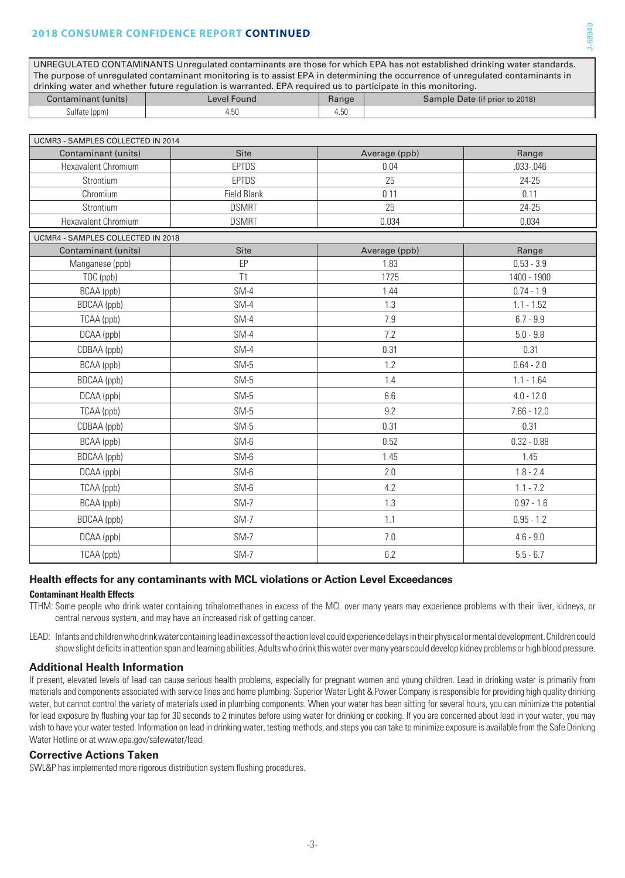#### **2018 CONSUMER CONFIDENCE REPORT CONTINUED**

UNREGULATED CONTAMINANTS Unregulated contaminants are those for which EPA has not established drinking water standards. The purpose of unregulated contaminant monitoring is to assist EPA in determining the occurrence of unregulated contaminants in drinking water and whether future regulation is warranted. EPA required us to participate in this monitoring.

| Contaminant (units) | Level Found         | Range                                 | Sample Date (if prior to 2018) |
|---------------------|---------------------|---------------------------------------|--------------------------------|
| sulfate (ppm)       | $\sim$<br>ы<br>4.JU | $\overline{\phantom{0}}$<br>h<br>4.JU |                                |

J-68949

| UCMR3 - SAMPLES COLLECTED IN 2014 |                    |               |               |  |  |
|-----------------------------------|--------------------|---------------|---------------|--|--|
| Contaminant (units)               | <b>Site</b>        | Average (ppb) | Range         |  |  |
| Hexavalent Chromium               | <b>EPTDS</b>       | 0.04          | .033-.046     |  |  |
| Strontium                         | <b>EPTDS</b>       | 25            | 24-25         |  |  |
| Chromium                          | <b>Field Blank</b> | 0.11          | 0.11          |  |  |
| Strontium                         | <b>DSMRT</b>       | 25            | 24-25         |  |  |
| Hexavalent Chromium               | <b>DSMRT</b>       | 0.034         | 0.034         |  |  |
| UCMR4 - SAMPLES COLLECTED IN 2018 |                    |               |               |  |  |
| Contaminant (units)               | <b>Site</b>        | Average (ppb) | Range         |  |  |
| Manganese (ppb)                   | EP                 | 1.83          | $0.53 - 3.9$  |  |  |
| TOC (ppb)                         | T1                 | 1725          | 1400 - 1900   |  |  |
| BCAA (ppb)                        | $SM-4$             | 1.44          | $0.74 - 1.9$  |  |  |
| BDCAA (ppb)                       | $SM-4$             | 1.3           | $1.1 - 1.52$  |  |  |
| TCAA (ppb)                        | $SM-4$             | 7.9           | $6.7 - 9.9$   |  |  |
| DCAA (ppb)                        | $SM-4$             | 7.2           | $5.0 - 9.8$   |  |  |
| CDBAA (ppb)                       | $SM-4$             | 0.31          | 0.31          |  |  |
| BCAA (ppb)                        | $SM-5$             | 1.2           | $0.64 - 2.0$  |  |  |
| BDCAA (ppb)                       | $SM-5$             | 1.4           | $1.1 - 1.64$  |  |  |
| DCAA (ppb)                        | $SM-5$             | 6.6           | $4.0 - 12.0$  |  |  |
| TCAA (ppb)                        | $SM-5$             | 9.2           | $7.66 - 12.0$ |  |  |
| CDBAA (ppb)                       | $SM-5$             | 0.31          | 0.31          |  |  |
| BCAA (ppb)                        | $SM-6$             | 0.52          | $0.32 - 0.88$ |  |  |
| BDCAA (ppb)                       | SM-6               | 1.45          | 1.45          |  |  |
| DCAA (ppb)                        | SM-6               | 2.0           | $1.8 - 2.4$   |  |  |
| TCAA (ppb)                        | $SM-6$             | 4.2           | $1.1 - 7.2$   |  |  |
| BCAA (ppb)                        | $SM-7$             | 1.3           | $0.97 - 1.6$  |  |  |
| BDCAA (ppb)                       | $SM-7$             | 1.1           | $0.95 - 1.2$  |  |  |
| DCAA (ppb)                        | $SM-7$             | 7.0           | $4.6 - 9.0$   |  |  |
| TCAA (ppb)                        | $SM-7$             | 6.2           | $5.5 - 6.7$   |  |  |

# **Health effects for any contaminants with MCL violations or Action Level Exceedances**

**Contaminant Health Effects**

TTHM: Some people who drink water containing trihalomethanes in excess of the MCL over many years may experience problems with their liver, kidneys, or central nervous system, and may have an increased risk of getting cancer.

LEAD: Infants and children who drink water containing lead in excess of the action level could experience delays in their physical or mental development. Children could show slight deficits in attention span and learning abilities. Adults who drink this water over many years could develop kidney problems or high blood pressure.

## **Additional Health Information**

If present, elevated levels of lead can cause serious health problems, especially for pregnant women and young children. Lead in drinking water is primarily from materials and components associated with service lines and home plumbing. Superior Water Light & Power Company is responsible for providing high quality drinking water, but cannot control the variety of materials used in plumbing components. When your water has been sitting for several hours, you can minimize the potential for lead exposure by flushing your tap for 30 seconds to 2 minutes before using water for drinking or cooking. If you are concerned about lead in your water, you may wish to have your water tested. Information on lead in drinking water, testing methods, and steps you can take to minimize exposure is available from the Safe Drinking Water Hotline or at www.epa.gov/safewater/lead.

#### **Corrective Actions Taken**

SWL&P has implemented more rigorous distribution system flushing procedures.

-3-